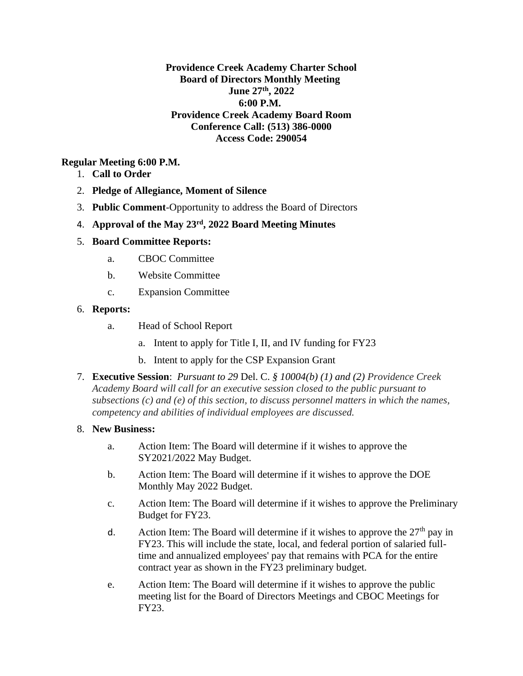## **Providence Creek Academy Charter School Board of Directors Monthly Meeting June 27th, 2022 6:00 P.M. Providence Creek Academy Board Room Conference Call: (513) 386-0000 Access Code: 290054**

# **Regular Meeting 6:00 P.M.**

- 1. **Call to Order**
- 2. **Pledge of Allegiance, Moment of Silence**
- 3. **Public Comment**-Opportunity to address the Board of Directors
- 4. **Approval of the May 23rd, 2022 Board Meeting Minutes**

## 5. **Board Committee Reports:**

- a. CBOC Committee
- b. Website Committee
- c. Expansion Committee

## 6. **Reports:**

- a. Head of School Report
	- a. Intent to apply for Title I, II, and IV funding for FY23
	- b. Intent to apply for the CSP Expansion Grant
- 7. **Executive Session**: *Pursuant to 29* Del. C. *§ 10004(b) (1) and (2) Providence Creek Academy Board will call for an executive session closed to the public pursuant to subsections (c) and (e) of this section, to discuss personnel matters in which the names, competency and abilities of individual employees are discussed.*

## 8. **New Business:**

- a. Action Item: The Board will determine if it wishes to approve the SY2021/2022 May Budget.
- b. Action Item: The Board will determine if it wishes to approve the DOE Monthly May 2022 Budget.
- c. Action Item: The Board will determine if it wishes to approve the Preliminary Budget for FY23.
- d. Action Item: The Board will determine if it wishes to approve the  $27<sup>th</sup>$  pay in FY23. This will include the state, local, and federal portion of salaried fulltime and annualized employees' pay that remains with PCA for the entire contract year as shown in the FY23 preliminary budget.
- e. Action Item: The Board will determine if it wishes to approve the public meeting list for the Board of Directors Meetings and CBOC Meetings for FY23.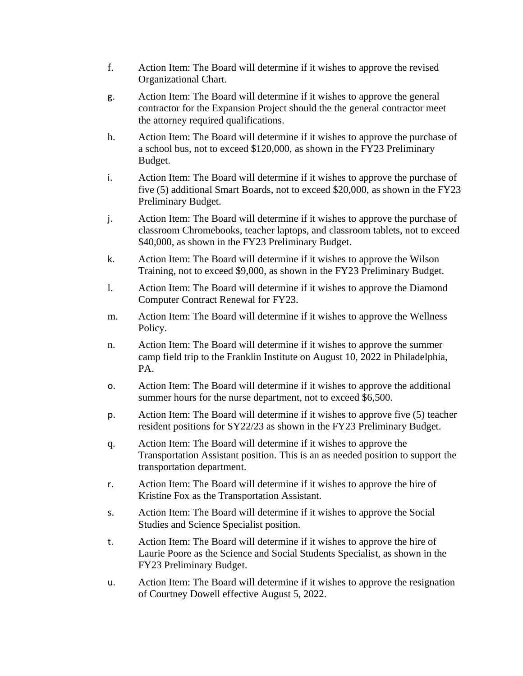- f. Action Item: The Board will determine if it wishes to approve the revised Organizational Chart.
- g. Action Item: The Board will determine if it wishes to approve the general contractor for the Expansion Project should the the general contractor meet the attorney required qualifications.
- h. Action Item: The Board will determine if it wishes to approve the purchase of a school bus, not to exceed \$120,000, as shown in the FY23 Preliminary Budget.
- i. Action Item: The Board will determine if it wishes to approve the purchase of five (5) additional Smart Boards, not to exceed \$20,000, as shown in the FY23 Preliminary Budget.
- j. Action Item: The Board will determine if it wishes to approve the purchase of classroom Chromebooks, teacher laptops, and classroom tablets, not to exceed \$40,000, as shown in the FY23 Preliminary Budget.
- k. Action Item: The Board will determine if it wishes to approve the Wilson Training, not to exceed \$9,000, as shown in the FY23 Preliminary Budget.
- l. Action Item: The Board will determine if it wishes to approve the Diamond Computer Contract Renewal for FY23.
- m. Action Item: The Board will determine if it wishes to approve the Wellness Policy.
- n. Action Item: The Board will determine if it wishes to approve the summer camp field trip to the Franklin Institute on August 10, 2022 in Philadelphia, PA.
- o. Action Item: The Board will determine if it wishes to approve the additional summer hours for the nurse department, not to exceed \$6,500.
- p. Action Item: The Board will determine if it wishes to approve five (5) teacher resident positions for SY22/23 as shown in the FY23 Preliminary Budget.
- q. Action Item: The Board will determine if it wishes to approve the Transportation Assistant position. This is an as needed position to support the transportation department.
- r. Action Item: The Board will determine if it wishes to approve the hire of Kristine Fox as the Transportation Assistant.
- s. Action Item: The Board will determine if it wishes to approve the Social Studies and Science Specialist position.
- t. Action Item: The Board will determine if it wishes to approve the hire of Laurie Poore as the Science and Social Students Specialist, as shown in the FY23 Preliminary Budget.
- u. Action Item: The Board will determine if it wishes to approve the resignation of Courtney Dowell effective August 5, 2022.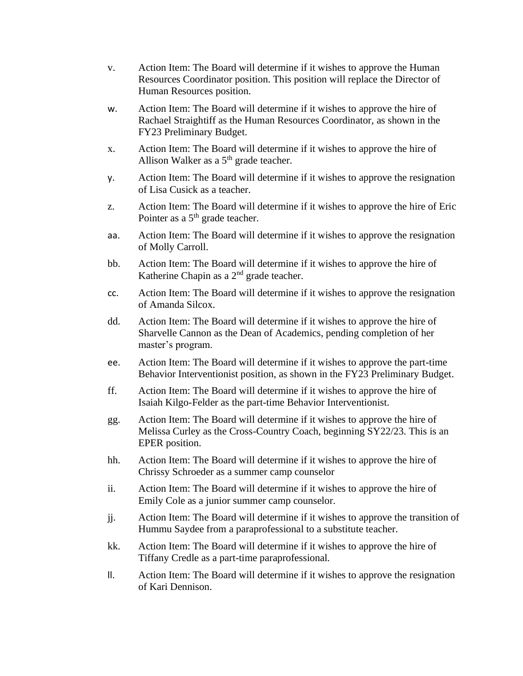- v. Action Item: The Board will determine if it wishes to approve the Human Resources Coordinator position. This position will replace the Director of Human Resources position.
- w. Action Item: The Board will determine if it wishes to approve the hire of Rachael Straightiff as the Human Resources Coordinator, as shown in the FY23 Preliminary Budget.
- x. Action Item: The Board will determine if it wishes to approve the hire of Allison Walker as a  $5<sup>th</sup>$  grade teacher.
- y. Action Item: The Board will determine if it wishes to approve the resignation of Lisa Cusick as a teacher.
- z. Action Item: The Board will determine if it wishes to approve the hire of Eric Pointer as a 5<sup>th</sup> grade teacher.
- aa. Action Item: The Board will determine if it wishes to approve the resignation of Molly Carroll.
- bb. Action Item: The Board will determine if it wishes to approve the hire of Katherine Chapin as a 2nd grade teacher.
- cc. Action Item: The Board will determine if it wishes to approve the resignation of Amanda Silcox.
- dd. Action Item: The Board will determine if it wishes to approve the hire of Sharvelle Cannon as the Dean of Academics, pending completion of her master's program.
- ee. Action Item: The Board will determine if it wishes to approve the part-time Behavior Interventionist position, as shown in the FY23 Preliminary Budget.
- ff. Action Item: The Board will determine if it wishes to approve the hire of Isaiah Kilgo-Felder as the part-time Behavior Interventionist.
- gg. Action Item: The Board will determine if it wishes to approve the hire of Melissa Curley as the Cross-Country Coach, beginning SY22/23. This is an EPER position.
- hh. Action Item: The Board will determine if it wishes to approve the hire of Chrissy Schroeder as a summer camp counselor
- ii. Action Item: The Board will determine if it wishes to approve the hire of Emily Cole as a junior summer camp counselor.
- jj. Action Item: The Board will determine if it wishes to approve the transition of Hummu Saydee from a paraprofessional to a substitute teacher.
- kk. Action Item: The Board will determine if it wishes to approve the hire of Tiffany Credle as a part-time paraprofessional.
- ll. Action Item: The Board will determine if it wishes to approve the resignation of Kari Dennison.